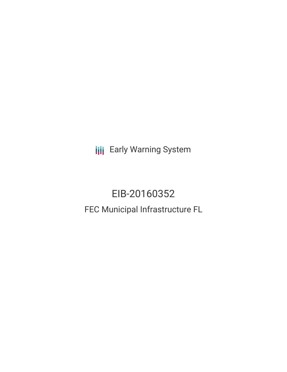**III** Early Warning System

# EIB-20160352 FEC Municipal Infrastructure FL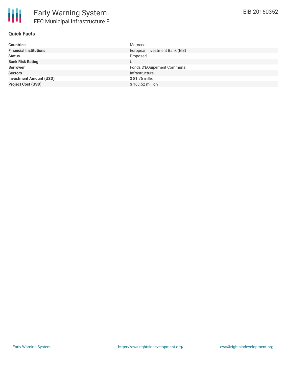

#### **Quick Facts**

| <b>Financial Institutions</b><br>European Investment Bank (EIB)<br><b>Status</b><br>Proposed<br><b>Bank Risk Rating</b><br>U<br>Fonds D'EQuipement Communal<br><b>Borrower</b><br>Infrastructure<br><b>Sectors</b><br>$$81.76$ million<br><b>Investment Amount (USD)</b><br>\$163.52 million<br><b>Project Cost (USD)</b> | <b>Countries</b> | Morocco |
|---------------------------------------------------------------------------------------------------------------------------------------------------------------------------------------------------------------------------------------------------------------------------------------------------------------------------|------------------|---------|
|                                                                                                                                                                                                                                                                                                                           |                  |         |
|                                                                                                                                                                                                                                                                                                                           |                  |         |
|                                                                                                                                                                                                                                                                                                                           |                  |         |
|                                                                                                                                                                                                                                                                                                                           |                  |         |
|                                                                                                                                                                                                                                                                                                                           |                  |         |
|                                                                                                                                                                                                                                                                                                                           |                  |         |
|                                                                                                                                                                                                                                                                                                                           |                  |         |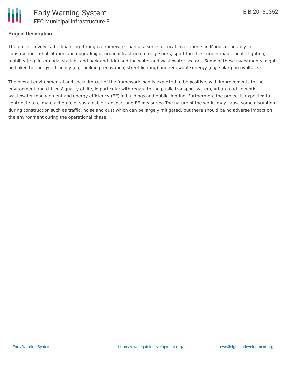

#### **Project Description**

The project involves the financing through a framework loan of a series of local investments in Morocco, notably in construction, rehabilitation and upgrading of urban infrastructure (e.g. souks, sport facilities, urban roads, public lighting), mobility (e.g. intermodal stations and park and ride) and the water and wastewater sectors. Some of these investments might be linked to energy efficiency (e.g. building renovation, street lighting) and renewable energy (e.g. solar photovoltaics).

The overall environmental and social impact of the framework loan is expected to be positive, with improvements to the environment and citizens' quality of life, in particular with regard to the public transport system, urban road network, wastewater management and energy efficiency (EE) in buildings and public lighting. Furthermore the project is expected to contribute to climate action (e.g. sustainable transport and EE measures).The nature of the works may cause some disruption during construction such as traffic, noise and dust which can be largely mitigated, but there should be no adverse impact on the environment during the operational phase.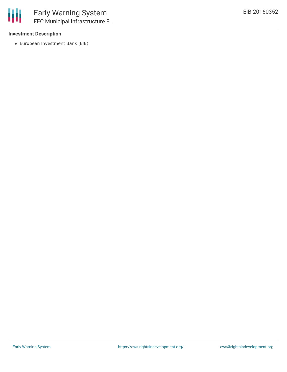

### **Investment Description**

European Investment Bank (EIB)